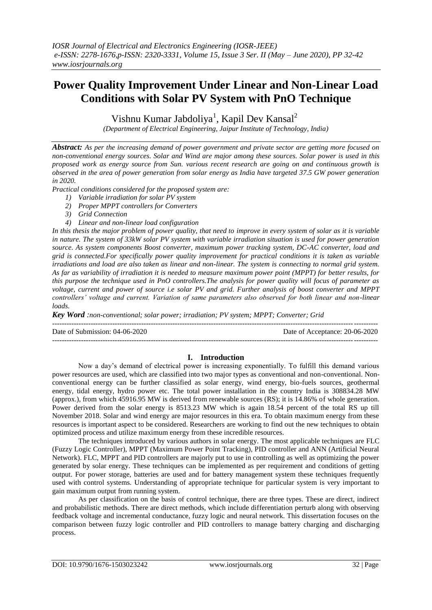# **Power Quality Improvement Under Linear and Non-Linear Load Conditions with Solar PV System with PnO Technique**

Vishnu Kumar Jabdoliya<sup>1</sup>, Kapil Dev Kansal<sup>2</sup>

*(Department of Electrical Engineering, Jaipur Institute of Technology, India)* 

*Abstract: As per the increasing demand of power government and private sector are getting more focused on non-conventional energy sources. Solar and Wind are major among these sources. Solar power is used in this proposed work as energy source from Sun. various recent research are going on and continuous growth is observed in the area of power generation from solar energy as India have targeted 37.5 GW power generation in 2020.*

*Practical conditions considered for the proposed system are:*

- *1) Variable irradiation for solar PV system*
- *2) Proper MPPT controllers for Converters*
- *3) Grid Connection*
- *4) Linear and non-linear load configuration*

*In this thesis the major problem of power quality, that need to improve in every system of solar as it is variable in nature. The system of 33kW solar PV system with variable irradiation situation is used for power generation source. As system components Boost converter, maximum power tracking system, DC-AC converter, load and grid is connected.For specifically power quality improvement for practical conditions it is taken as variable irradiations and load are also taken as linear and non-linear. The system is connecting to normal grid system. As far as variability of irradiation it is needed to measure maximum power point (MPPT) for better results, for this purpose the technique used in PnO controllers.The analysis for power quality will focus of parameter as voltage, current and power of source i.e solar PV and grid. Further analysis of boost converter and MPPT controllers' voltage and current. Variation of same parameters also observed for both linear and non-linear loads.*

*Key Word :non-conventional; solar power; irradiation; PV system; MPPT; Converter; Grid*

Date of Submission: 04-06-2020 Date of Acceptance: 20-06-2020

## **I. Introduction**

---------------------------------------------------------------------------------------------------------------------------------------

---------------------------------------------------------------------------------------------------------------------------------------

Now a day's demand of electrical power is increasing exponentially. To fulfill this demand various power resources are used, which are classified into two major types as conventional and non-conventional. Nonconventional energy can be further classified as solar energy, wind energy, bio-fuels sources, geothermal energy, tidal energy, hydro power etc. The total power installation in the country India is 308834.28 MW (approx.), from which 45916.95 MW is derived from renewable sources (RS); it is 14.86% of whole generation. Power derived from the solar energy is 8513.23 MW which is again 18.54 percent of the total RS up till November 2018. Solar and wind energy are major resources in this era. To obtain maximum energy from these resources is important aspect to be considered. Researchers are working to find out the new techniques to obtain optimized process and utilize maximum energy from these incredible resources.

The techniques introduced by various authors in solar energy. The most applicable techniques are FLC (Fuzzy Logic Controller), MPPT (Maximum Power Point Tracking), PID controller and ANN (Artificial Neural Network). FLC, MPPT and PID controllers are majorly put to use in controlling as well as optimizing the power generated by solar energy. These techniques can be implemented as per requirement and conditions of getting output. For power storage, batteries are used and for battery management system these techniques frequently used with control systems. Understanding of appropriate technique for particular system is very important to gain maximum output from running system.

As per classification on the basis of control technique, there are three types. These are direct, indirect and probabilistic methods. There are direct methods, which include differentiation perturb along with observing feedback voltage and incremental conductance, fuzzy logic and neural network. This dissertation focuses on the comparison between fuzzy logic controller and PID controllers to manage battery charging and discharging process.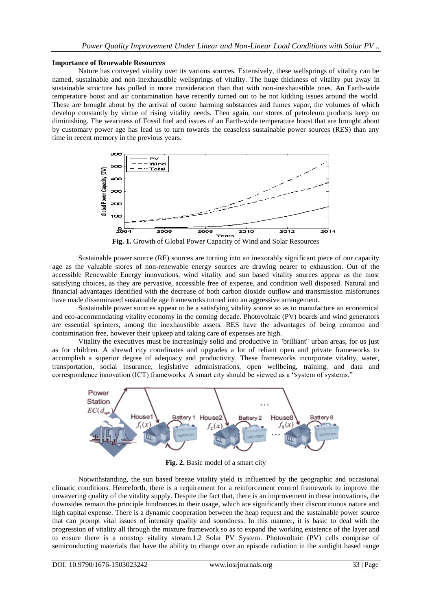#### **Importance of Renewable Resources**

Nature has conveyed vitality over its various sources. Extensively, these wellsprings of vitality can be named, sustainable and non-inexhaustible wellsprings of vitality. The huge thickness of vitality put away in sustainable structure has pulled in more consideration than that with non-inexhaustible ones. An Earth-wide temperature boost and air contamination have recently turned out to be not kidding issues around the world. These are brought about by the arrival of ozone harming substances and fumes vapor, the volumes of which develop constantly by virtue of rising vitality needs. Then again, our stores of petroleum products keep on diminishing. The weariness of Fossil fuel and issues of an Earth-wide temperature boost that are brought about by customary power age has lead us to turn towards the ceaseless sustainable power sources (RES) than any time in recent memory in the previous years.



**Fig. 1.** Growth of Global Power Capacity of Wind and Solar Resources

Sustainable power source (RE) sources are turning into an inexorably significant piece of our capacity age as the valuable stores of non-renewable energy sources are drawing nearer to exhaustion. Out of the accessible Renewable Energy innovations, wind vitality and sun based vitality sources appear as the most satisfying choices, as they are pervasive, accessible free of expense, and condition well disposed. Natural and financial advantages identified with the decrease of both carbon dioxide outflow and transmission misfortunes have made disseminated sustainable age frameworks turned into an aggressive arrangement.

Sustainable power sources appear to be a satisfying vitality source so as to manufacture an economical and eco-accommodating vitality economy in the coming decade. Photovoltaic (PV) boards and wind generators are essential sprinters, among the inexhaustible assets. RES have the advantages of being common and contamination free, however their upkeep and taking care of expenses are high.

Vitality the executives must be increasingly solid and productive in "brilliant" urban areas, for us just as for children. A shrewd city coordinates and upgrades a lot of reliant open and private frameworks to accomplish a superior degree of adequacy and productivity. These frameworks incorporate vitality, water, transportation, social insurance, legislative administrations, open wellbeing, training, and data and correspondence innovation (ICT) frameworks. A smart city should be viewed as a "system of systems."



**Fig. 2.** Basic model of a smart city

Notwithstanding, the sun based breeze vitality yield is influenced by the geographic and occasional climatic conditions. Henceforth, there is a requirement for a reinforcement control framework to improve the unwavering quality of the vitality supply. Despite the fact that, there is an improvement in these innovations, the downsides remain the principle hindrances to their usage, which are significantly their discontinuous nature and high capital expense. There is a dynamic cooperation between the heap request and the sustainable power source that can prompt vital issues of intensity quality and soundness. In this manner, it is basic to deal with the progression of vitality all through the mixture framework so as to expand the working existence of the layer and to ensure there is a nonstop vitality stream.1.2 Solar PV System. Photovoltaic (PV) cells comprise of semiconducting materials that have the ability to change over an episode radiation in the sunlight based range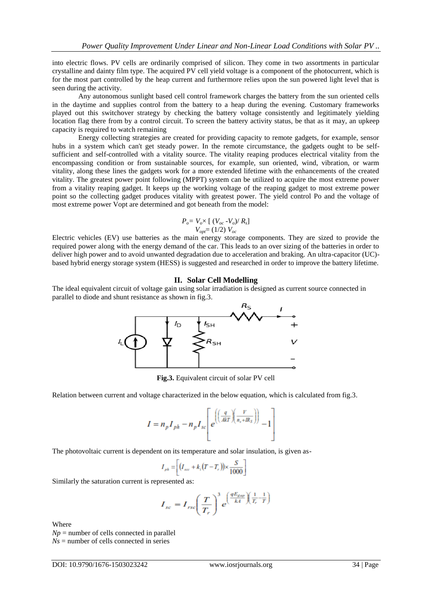into electric flows. PV cells are ordinarily comprised of silicon. They come in two assortments in particular crystalline and dainty film type. The acquired PV cell yield voltage is a component of the photocurrent, which is for the most part controlled by the heap current and furthermore relies upon the sun powered light level that is seen during the activity.

Any autonomous sunlight based cell control framework charges the battery from the sun oriented cells in the daytime and supplies control from the battery to a heap during the evening. Customary frameworks played out this switchover strategy by checking the battery voltage consistently and legitimately yielding location flag there from by a control circuit. To screen the battery activity status, be that as it may, an upkeep capacity is required to watch remaining

Energy collecting strategies are created for providing capacity to remote gadgets, for example, sensor hubs in a system which can't get steady power. In the remote circumstance, the gadgets ought to be selfsufficient and self-controlled with a vitality source. The vitality reaping produces electrical vitality from the encompassing condition or from sustainable sources, for example, sun oriented, wind, vibration, or warm vitality, along these lines the gadgets work for a more extended lifetime with the enhancements of the created vitality. The greatest power point following (MPPT) system can be utilized to acquire the most extreme power from a vitality reaping gadget. It keeps up the working voltage of the reaping gadget to most extreme power point so the collecting gadget produces vitality with greatest power. The yield control Po and the voltage of most extreme power Vopt are determined and got beneath from the model:

$$
P_o = V_o \times [ (V_{oc} - V_o) / R_s ]
$$
  

$$
V_{opt} = (1/2) V_{oc}
$$

Electric vehicles (EV) use batteries as the main energy storage components. They are sized to provide the required power along with the energy demand of the car. This leads to an over sizing of the batteries in order to deliver high power and to avoid unwanted degradation due to acceleration and braking. An ultra-capacitor (UC) based hybrid energy storage system (HESS) is suggested and researched in order to improve the battery lifetime.

#### **II. Solar Cell Modelling**

The ideal equivalent circuit of voltage gain using solar irradiation is designed as current source connected in parallel to diode and shunt resistance as shown in fig.3.



**Fig.3.** Equivalent circuit of solar PV cell

Relation between current and voltage characterized in the below equation, which is calculated from fig.3.

$$
I = n_p I_{ph} - n_p I_{sc} \left[ e^{\left( \left( \frac{q}{AkT} \right) \left( \frac{V}{n_s + IR_S} \right) \right)} - 1 \right]
$$

The photovoltaic current is dependent on its temperature and solar insulation, is given as-

$$
I_{\scriptscriptstyle ph} = \left[ \left( I_{\scriptscriptstyle acc} + k_i \left( T - T_{\scriptscriptstyle r} \right) \right) \times \frac{S}{1000} \right]
$$

Similarly the saturation current is represented as:

$$
I_{sc} = I_{rsc} \left(\frac{T}{T_r}\right)^3 e^{\left(\frac{qE_{gap}}{kA}\right)\left(\frac{1}{T_r} - \frac{1}{T}\right)}
$$

Where

 $Np$  = number of cells connected in parallel  $Ns =$  number of cells connected in series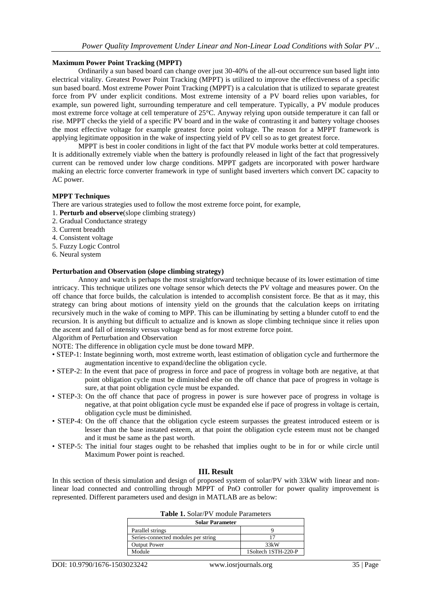#### **Maximum Power Point Tracking (MPPT)**

Ordinarily a sun based board can change over just 30-40% of the all-out occurrence sun based light into electrical vitality. Greatest Power Point Tracking (MPPT) is utilized to improve the effectiveness of a specific sun based board. Most extreme Power Point Tracking (MPPT) is a calculation that is utilized to separate greatest force from PV under explicit conditions. Most extreme intensity of a PV board relies upon variables, for example, sun powered light, surrounding temperature and cell temperature. Typically, a PV module produces most extreme force voltage at cell temperature of 25°C. Anyway relying upon outside temperature it can fall or rise. MPPT checks the yield of a specific PV board and in the wake of contrasting it and battery voltage chooses the most effective voltage for example greatest force point voltage. The reason for a MPPT framework is applying legitimate opposition in the wake of inspecting yield of PV cell so as to get greatest force.

MPPT is best in cooler conditions in light of the fact that PV module works better at cold temperatures. It is additionally extremely viable when the battery is profoundly released in light of the fact that progressively current can be removed under low charge conditions. MPPT gadgets are incorporated with power hardware making an electric force converter framework in type of sunlight based inverters which convert DC capacity to AC power.

#### **MPPT Techniques**

There are various strategies used to follow the most extreme force point, for example,

- 1. **Perturb and observe**(slope climbing strategy)
- 2. Gradual Conductance strategy
- 3. Current breadth
- 4. Consistent voltage
- 5. Fuzzy Logic Control
- 6. Neural system

#### **Perturbation and Observation (slope climbing strategy)**

Annoy and watch is perhaps the most straightforward technique because of its lower estimation of time intricacy. This technique utilizes one voltage sensor which detects the PV voltage and measures power. On the off chance that force builds, the calculation is intended to accomplish consistent force. Be that as it may, this strategy can bring about motions of intensity yield on the grounds that the calculation keeps on irritating recursively much in the wake of coming to MPP. This can be illuminating by setting a blunder cutoff to end the recursion. It is anything but difficult to actualize and is known as slope climbing technique since it relies upon the ascent and fall of intensity versus voltage bend as for most extreme force point.

Algorithm of Perturbation and Observation

NOTE: The difference in obligation cycle must be done toward MPP.

- STEP-1: Instate beginning worth, most extreme worth, least estimation of obligation cycle and furthermore the augmentation incentive to expand/decline the obligation cycle.
- STEP-2: In the event that pace of progress in force and pace of progress in voltage both are negative, at that point obligation cycle must be diminished else on the off chance that pace of progress in voltage is sure, at that point obligation cycle must be expanded.
- STEP-3: On the off chance that pace of progress in power is sure however pace of progress in voltage is negative, at that point obligation cycle must be expanded else if pace of progress in voltage is certain, obligation cycle must be diminished.
- STEP-4: On the off chance that the obligation cycle esteem surpasses the greatest introduced esteem or is lesser than the base instated esteem, at that point the obligation cycle esteem must not be changed and it must be same as the past worth.
- STEP-5: The initial four stages ought to be rehashed that implies ought to be in for or while circle until Maximum Power point is reached.

## **III. Result**

In this section of thesis simulation and design of proposed system of solar/PV with 33kW with linear and nonlinear load connected and controlling through MPPT of PnO controller for power quality improvement is represented. Different parameters used and design in MATLAB are as below:

| <b>Table 1.</b> Solar/F v illoudie Falameters |                     |  |
|-----------------------------------------------|---------------------|--|
| <b>Solar Parameter</b>                        |                     |  |
| Parallel strings                              |                     |  |
| Series-connected modules per string           |                     |  |
| <b>Output Power</b>                           | 33kW                |  |
| Module                                        | 1Soltech 1STH-220-P |  |

|  | <b>Table 1.</b> Solar/PV module Parameters |
|--|--------------------------------------------|
|--|--------------------------------------------|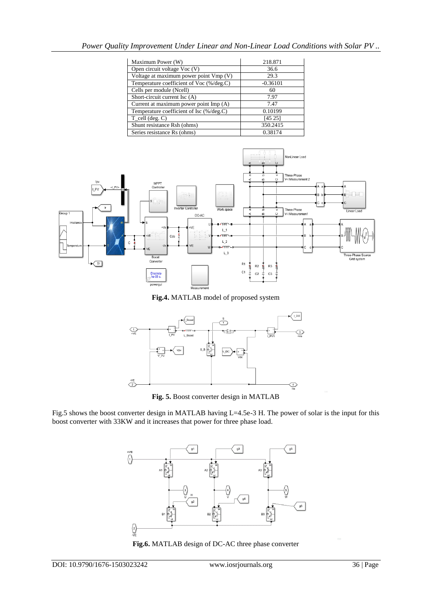| Maximum Power (W)                        | 218.871    |
|------------------------------------------|------------|
| Open circuit voltage Voc (V)             | 36.6       |
| Voltage at maximum power point Vmp (V)   | 29.3       |
| Temperature coefficient of Voc (%/deg.C) | $-0.36101$ |
| Cells per module (Ncell)                 | 60         |
| Short-circuit current Isc (A)            | 7.97       |
| Current at maximum power point Imp (A)   | 7.47       |
| Temperature coefficient of Isc (%/deg.C) | 0.10199    |
| $T_{cell}$ (deg. C)                      | [45 25]    |
| Shunt resistance Rsh (ohms)              | 350.2415   |
| Series resistance Rs (ohms)              | 0.38174    |



**Fig.4.** MATLAB model of proposed system



**Fig. 5.** Boost converter design in MATLAB

Fig.5 shows the boost converter design in MATLAB having L=4.5e-3 H. The power of solar is the input for this boost converter with 33KW and it increases that power for three phase load.



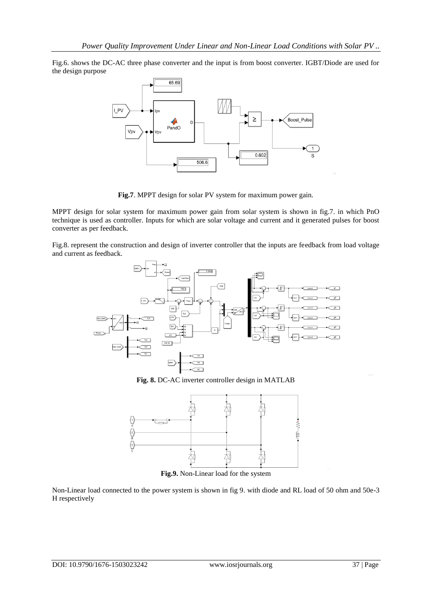Fig.6. shows the DC-AC three phase converter and the input is from boost converter. IGBT/Diode are used for the design purpose



**Fig.7**. MPPT design for solar PV system for maximum power gain.

MPPT design for solar system for maximum power gain from solar system is shown in fig.7. in which PnO technique is used as controller. Inputs for which are solar voltage and current and it generated pulses for boost converter as per feedback.

Fig.8. represent the construction and design of inverter controller that the inputs are feedback from load voltage and current as feedback.



**Fig. 8.** DC-AC inverter controller design in MATLAB



**Fig.9.** Non-Linear load for the system

Non-Linear load connected to the power system is shown in fig 9. with diode and RL load of 50 ohm and 50e-3 H respectively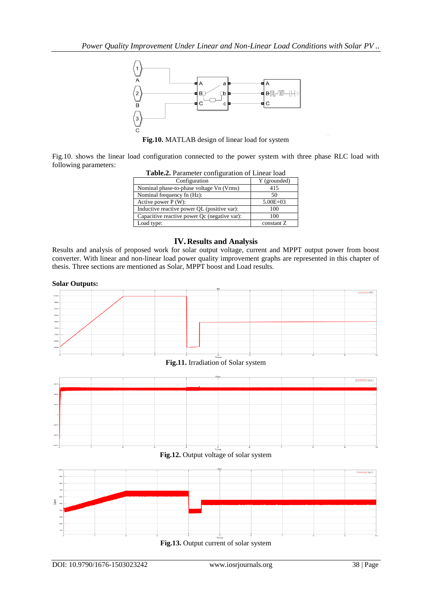

**Fig.10.** MATLAB design of linear load for system

Fig.10. shows the linear load configuration connected to the power system with three phase RLC load with following parameters:

| Table.2. Parameter configuration of Linear load |              |  |
|-------------------------------------------------|--------------|--|
| Configuration                                   | Y (grounded) |  |
| Nominal phase-to-phase voltage Vn (Vrms)        | 415          |  |
| Nominal frequency fn (Hz):                      | 50           |  |
| Active power $P(W)$ :                           | $5.00E + 03$ |  |
| Inductive reactive power QL (positive var):     | 100          |  |
| Capacitive reactive power Qc (negative var):    | 100          |  |
| Load type:                                      | constant Z   |  |

## **IV. Results and Analysis**

Results and analysis of proposed work for solar output voltage, current and MPPT output power from boost converter. With linear and non-linear load power quality improvement graphs are represented in this chapter of thesis. Three sections are mentioned as Solar, MPPT boost and Load results.





**Fig.11.** Irradiation of Solar system

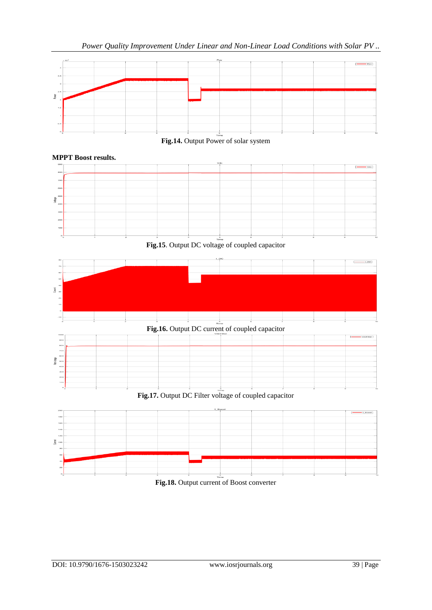

# **Fig.14.** Output Power of solar system





**Fig.17.** Output DC Filter voltage of coupled capacitor



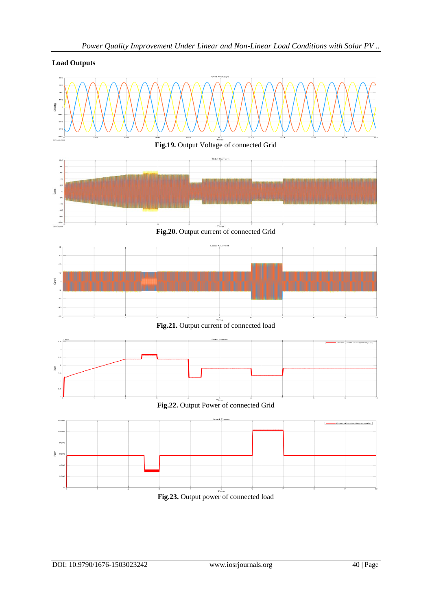

# *Power Quality Improvement Under Linear and Non-Linear Load Conditions with Solar PV ..*

**Load Outputs**

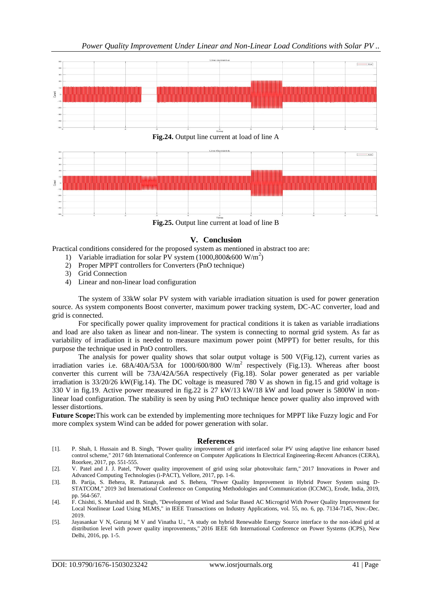

**Fig.24.** Output line current at load of line A



**Fig.25.** Output line current at load of line B

## **V. Conclusion**

Practical conditions considered for the proposed system as mentioned in abstract too are:

- 1) Variable irradiation for solar PV system (1000,800&600 W/m<sup>2</sup>)
- 2) Proper MPPT controllers for Converters (PnO technique)
- 3) Grid Connection
- 4) Linear and non-linear load configuration

The system of 33kW solar PV system with variable irradiation situation is used for power generation source. As system components Boost converter, maximum power tracking system, DC-AC converter, load and grid is connected.

For specifically power quality improvement for practical conditions it is taken as variable irradiations and load are also taken as linear and non-linear. The system is connecting to normal grid system. As far as variability of irradiation it is needed to measure maximum power point (MPPT) for better results, for this purpose the technique used in PnO controllers.

The analysis for power quality shows that solar output voltage is 500 V(Fig.12), current varies as irradiation varies i.e.  $68A/40A/53A$  for  $1000/600/800$  W/m<sup>2</sup> respectively (Fig.13). Whereas after boost converter this current will be 73A/42A/56A respectively (Fig.18). Solar power generated as per variable irradiation is 33/20/26 kW(Fig.14). The DC voltage is measured 780 V as shown in fig.15 and grid voltage is 330 V in fig.19. Active power measured in fig.22 is 27 kW/13 kW/18 kW and load power is 5800W in nonlinear load configuration. The stability is seen by using PnO technique hence power quality also improved with lesser distortions.

**Future Scope:**This work can be extended by implementing more techniques for MPPT like Fuzzy logic and For more complex system Wind can be added for power generation with solar.

#### **References**

- [1]. P. Shah, I. Hussain and B. Singh, "Power quality improvement of grid interfaced solar PV using adaptive line enhancer based control scheme," 2017 6th International Conference on Computer Applications In Electrical Engineering-Recent Advances (CERA), Roorkee, 2017, pp. 551-555.
- [2]. V. Patel and J. J. Patel, "Power quality improvement of grid using solar photovoltaic farm," 2017 Innovations in Power and Advanced Computing Technologies (i-PACT), Vellore, 2017, pp. 1-6.
- [3]. B. Parija, S. Behera, R. Pattanayak and S. Behera, "Power Quality Improvement in Hybrid Power System using D-STATCOM," 2019 3rd International Conference on Computing Methodologies and Communication (ICCMC), Erode, India, 2019, pp. 564-567.
- [4]. F. Chishti, S. Murshid and B. Singh, "Development of Wind and Solar Based AC Microgrid With Power Quality Improvement for Local Nonlinear Load Using MLMS," in IEEE Transactions on Industry Applications, vol. 55, no. 6, pp. 7134-7145, Nov.-Dec. 2019.
- [5]. Jayasankar V N, Gururaj M V and Vinatha U., "A study on hybrid Renewable Energy Source interface to the non-ideal grid at distribution level with power quality improvements," 2016 IEEE 6th International Conference on Power Systems (ICPS), New Delhi, 2016, pp. 1-5.